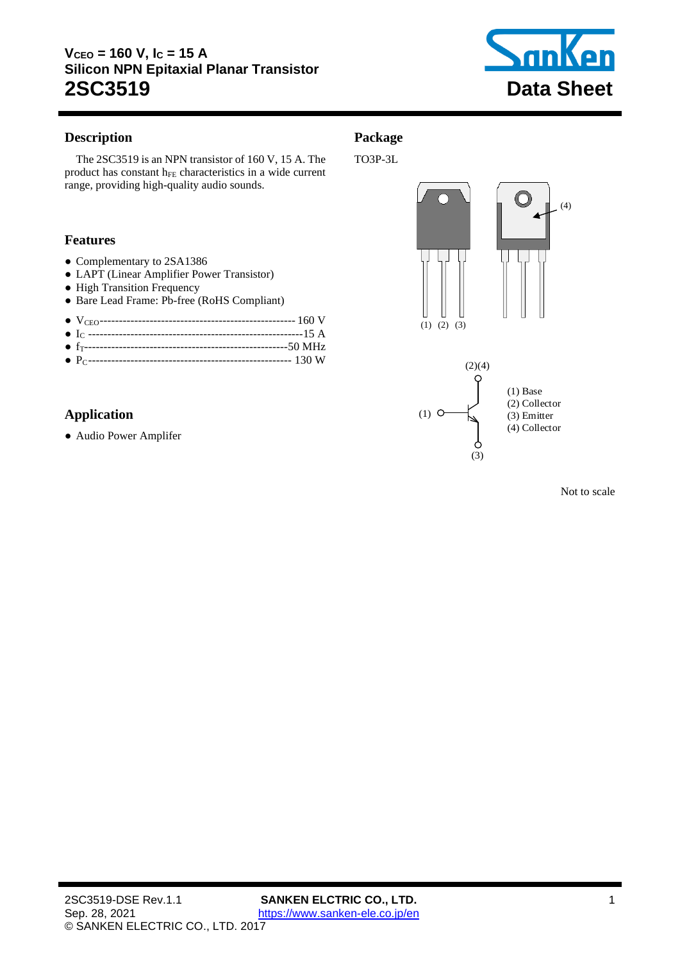

### <span id="page-0-0"></span>**Description**

**Package** TO3P-3L

The 2SC3519 is an [NPN](#page-0-0) transistor o[f 160](#page-1-0) V[, 15](#page-1-1) A. The product has constant  $h_{FE}$  characteristics in a wide current range, providing high-quality audio sounds.

### **Features**

- Complementary to 2SA1386
- LAPT (Linear Amplifier Power Transistor)
- High Transition Frequency
- Bare Lead Frame: Pb-free (RoHS Compliant)

● PC----------------------------------------------------- [130](#page-1-3) W

## **Application**

● Audio Power Amplifer





Not to scale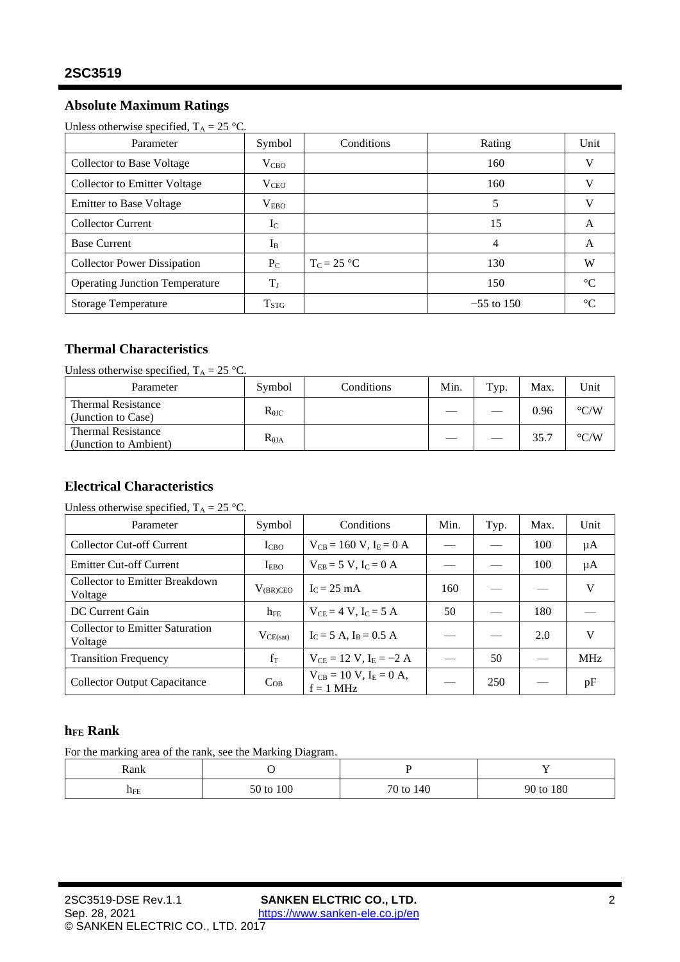## **Absolute Maximum Ratings**

Unless otherwise specified,  $T_A = 25$  °C.

<span id="page-1-4"></span><span id="page-1-1"></span><span id="page-1-0"></span>

| Parameter                             | Symbol           | Conditions    | Rating       | Unit        |
|---------------------------------------|------------------|---------------|--------------|-------------|
| Collector to Base Voltage             | V <sub>CBO</sub> |               | 160          | V           |
| Collector to Emitter Voltage          | $\rm V_{CEO}$    |               | 160          | V           |
| <b>Emitter to Base Voltage</b>        | $\rm V_{EBO}$    |               | 5            | J.          |
| <b>Collector Current</b>              | $I_{C}$          |               | 15           | A           |
| <b>Base Current</b>                   | $I_{B}$          |               | 4            | A           |
| <b>Collector Power Dissipation</b>    | $P_{C}$          | $T_c = 25 °C$ | 130          | W           |
| <b>Operating Junction Temperature</b> | $T_J$            |               | 150          | $^{\circ}C$ |
| <b>Storage Temperature</b>            | T <sub>STG</sub> |               | $-55$ to 150 | $\sim$      |

## <span id="page-1-3"></span>**Thermal Characteristics**

Unless otherwise specified,  $T_A = 25 \text{ °C}$ .

| Parameter                                          | Symbol          | Conditions | Min. | Typ. | Max. | Unit               |
|----------------------------------------------------|-----------------|------------|------|------|------|--------------------|
| <b>Thermal Resistance</b><br>(Junction to Case)    | $R_{\theta$ JC  |            |      |      | 0.96 | $\rm ^{\circ} C/W$ |
| <b>Thermal Resistance</b><br>(Junction to Ambient) | $R_{\theta JA}$ |            |      |      | 35.7 | $\rm ^{\circ} C/W$ |

### **Electrical Characteristics**

### Unless otherwise specified,  $T_A = 25$  °C.

| Parameter                                         | Symbol           | Conditions                                     | Min. | Typ. | Max. | Unit       |
|---------------------------------------------------|------------------|------------------------------------------------|------|------|------|------------|
| Collector Cut-off Current                         | I <sub>CBO</sub> | $V_{CB} = 160 V, I_E = 0 A$                    |      |      | 100  | μA         |
| <b>Emitter Cut-off Current</b>                    | I <sub>FBO</sub> | $V_{EB} = 5 V$ , $I_C = 0 A$                   |      |      | 100  | μA         |
| Collector to Emitter Breakdown<br>Voltage         | $V_{(BR)CEO}$    | $IC = 25 mA$                                   | 160  |      |      | V          |
| DC Current Gain                                   | $h_{FE}$         | $V_{CF} = 4 V$ , $I_C = 5 A$                   | 50   |      | 180  |            |
| <b>Collector to Emitter Saturation</b><br>Voltage | $V_{CE(sat)}$    | $I_C = 5 A$ , $I_B = 0.5 A$                    |      |      | 2.0  | V          |
| <b>Transition Frequency</b>                       | $f_T$            | $V_{CF} = 12 V, I_F = -2 A$                    |      | 50   |      | <b>MHz</b> |
| <b>Collector Output Capacitance</b>               | $C_{OB}$         | $V_{CB} = 10 V$ , $I_E = 0 A$ ,<br>$f = 1$ MHz |      | 250  |      | pF         |

#### <span id="page-1-2"></span>**hFE Rank**

For the marking area of the rank, see the Marking Diagram.

| Rank     |           |           |           |
|----------|-----------|-----------|-----------|
| $\Pi$ FE | 50 to 100 | 70 to 140 | 90 to 180 |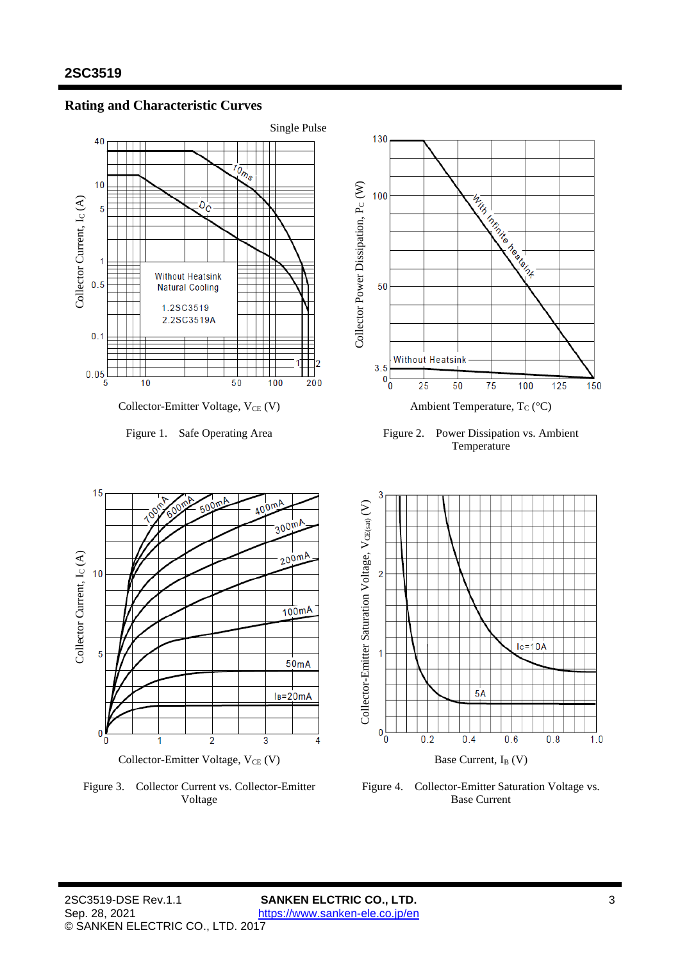Collector Current, I<sub>C</sub> (A)

Collector Current, Ic (A)

15

 $10$ 

5

 $\bf{0}$ 



**Rating and Characteristic Curves**



Figure 1. Safe Operating Area Figure 2. Power Dissipation vs. Ambient Temperature



Figure 3. Collector Current vs. Collector-Emitter Voltage



Figure 4. Collector-Emitter Saturation Voltage vs. Base Current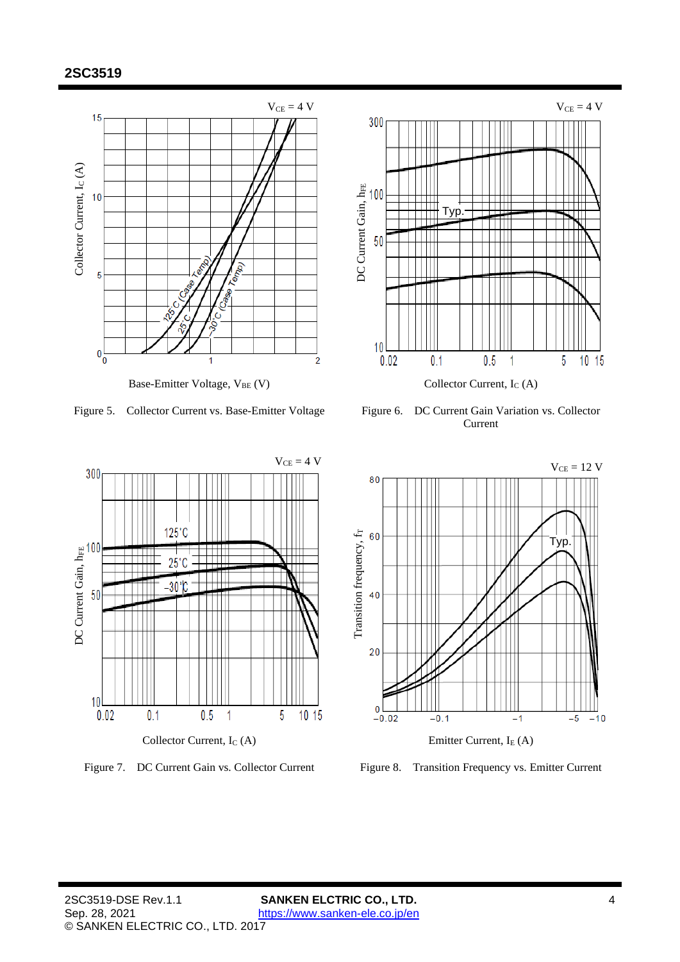

Figure 5. Collector Current vs. Base-Emitter Voltage Figure 6. DC Current Gain Variation vs. Collector



Current





Figure 7. DC Current Gain vs. Collector Current Figure 8. Transition Frequency vs. Emitter Current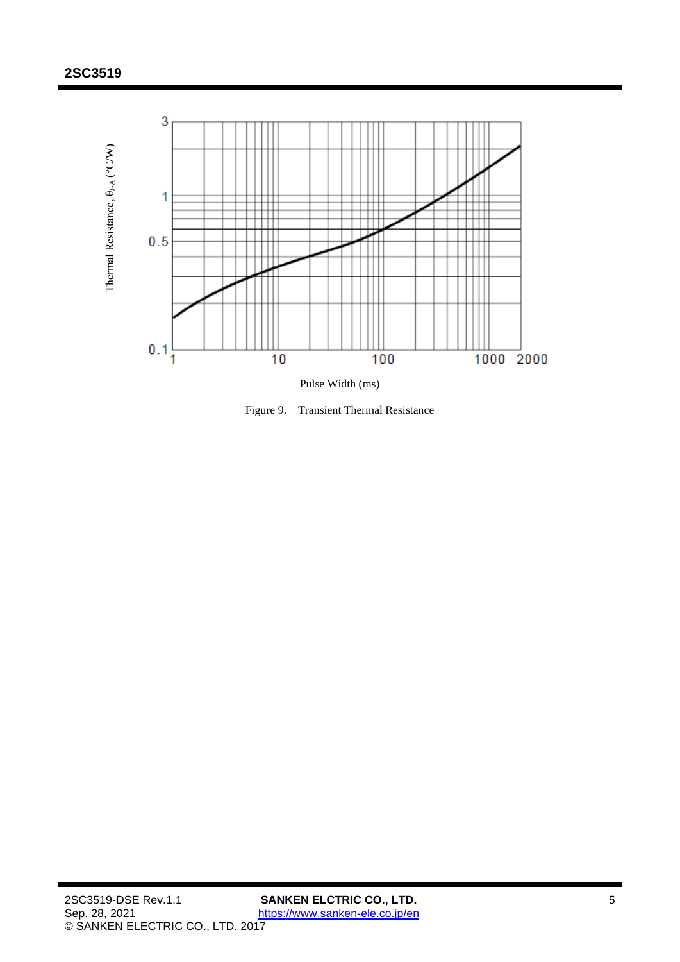

Figure 9. Transient Thermal Resistance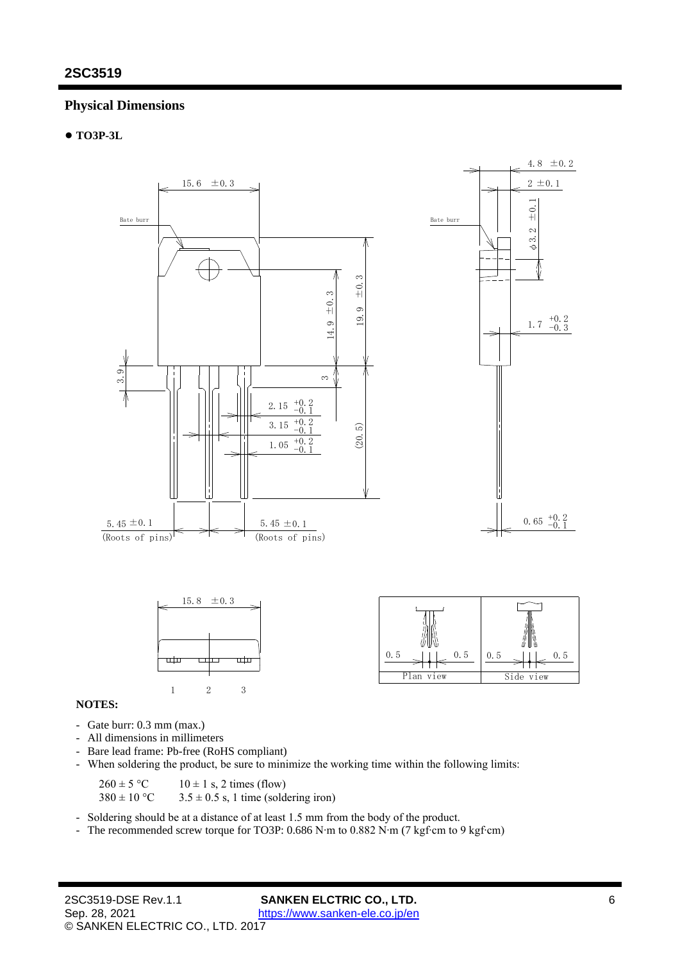### **Physical Dimensions**

#### ● **TO3P-3L**



#### **NOTES:**

- Gate burr: 0.3 mm (max.)
- All dimensions in millimeters
- Bare lead frame: Pb-free (RoHS compliant)
- When soldering the product, be sure to minimize the working time within the following limits:

 $260 \pm 5$  °C 10  $\pm$  1 s, 2 times (flow)<br> $380 \pm 10$  °C 3.5  $\pm$  0.5 s, 1 time (sold

 $3.5 \pm 0.5$  s, 1 time (soldering iron)

- Soldering should be at a distance of at least 1.5 mm from the body of the product.

- The recommended screw torque for TO3P: 0.686 N∙m to 0.882 N∙m (7 kgf∙cm to 9 kgf∙cm)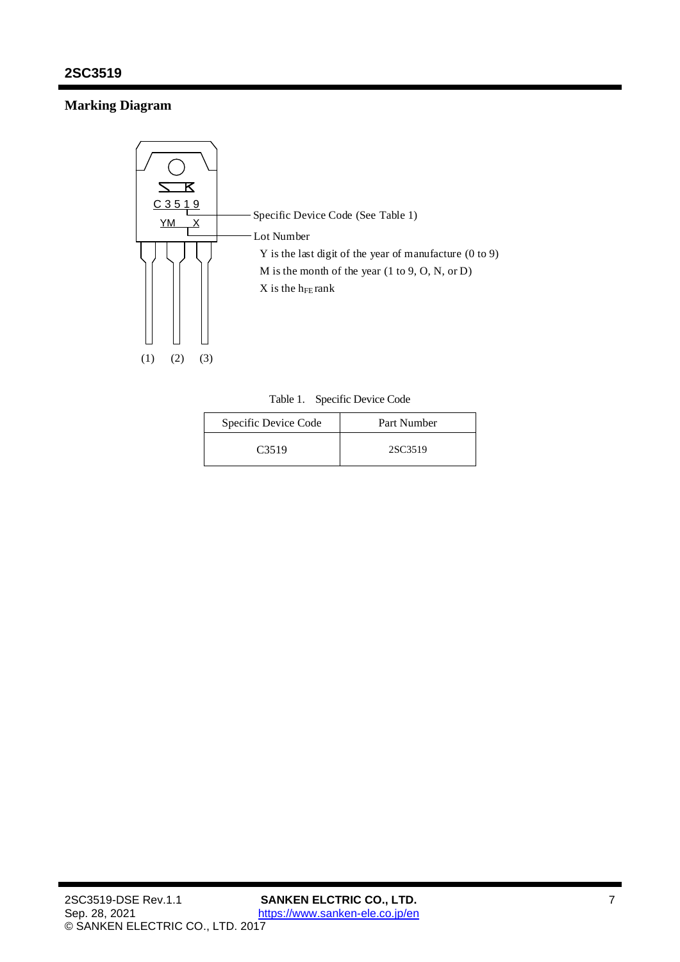# **Marking Diagram**



Table 1. Specific Device Code

| Specific Device Code | Part Number |
|----------------------|-------------|
| C <sub>3519</sub>    | 2SC3519     |